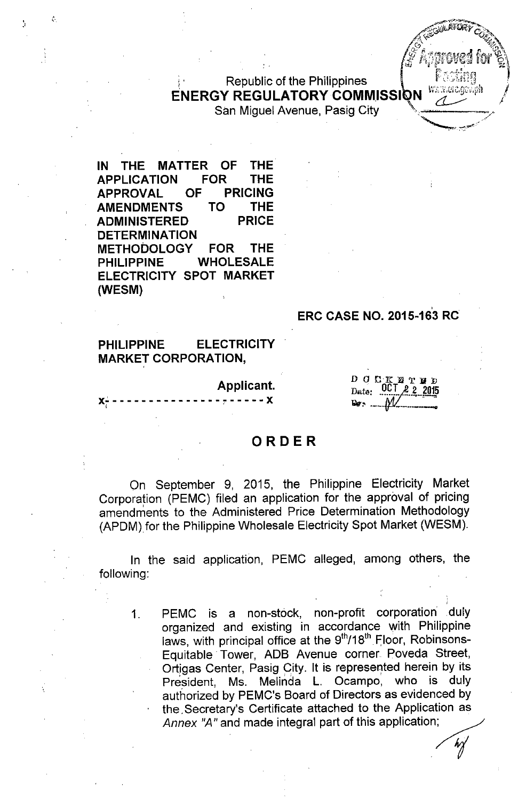Republic of the Philippines ENERGY REGULATORY COMMISSION

San Miguel Avenue, Pasig City

IN THE MATTER OF THE APPLICATION FOR THE APPROVAL OF PRICING AMENDMENTS TO THE ADMINISTERED PRICE **DETERMINATION** METHODOLOGY FOR THE PHILIPPINE WHOLESALE ELECTRICITY SPOT MARKET (WESM)

, .'

#### **ERC CASE NO. 2015-163 RC**

Williams on

PHILIPPINE ELECTRICITY MARKET CORPORATION,

#### Applicant.

 $\mathbf{X}^{\perp}_{i}$  -------------------

DOCK  $29T$   $T$   $R$   $R$ OCT

#### ORDER

On September 9, 2015, the Philippine Electricity Market Corporation (PEMC) filed an application for the approval of pricing , amendments to the Administered Price Determination Methodology (APDM) for the Philippine Wholesale Electricity Spot Market (WESM).

In the said application, PEMC alleged, among others, the following:

1. PEMC is a non-stock, non-profit corporation .duly organized and existing in accordance with Philippine laws, with principal office at the 9<sup>th</sup>/18<sup>th</sup> Floor, Robinsons Equitable'Tower, ADB Avenue corner Poveda Street, Ortigas Center, Pasig City. It is represented herein by its President, Ms. Melinda L. Ocampo, who is duly authorized by PEMC's Board of Directors as evidenced by the. Secretary's Certificate attached to the Application as A*nnex "A"* and made integral part of this application; Leftincate attached to the Application as<br>hade integral part of this application;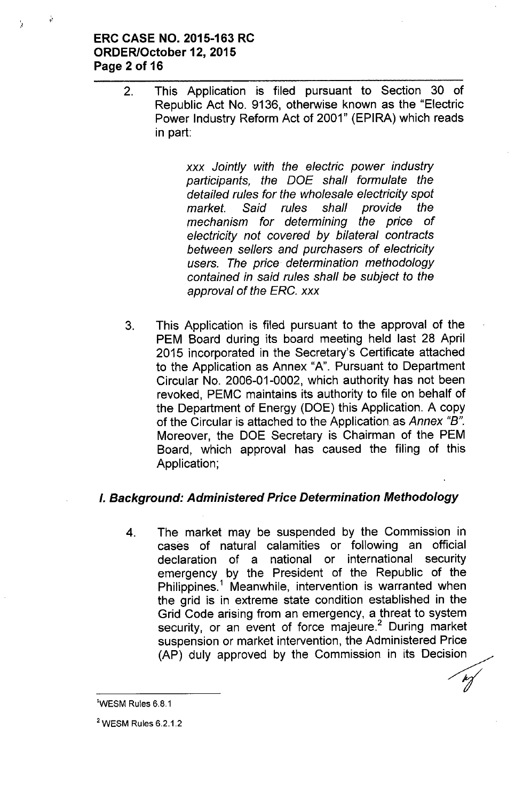# ERC CASE NO. 2015-163 RC ORDER/October 12, 2015 Page 2 of 16

2. This Application is filed pursuant to Section 30 of Republic Act No. 9136, otherwise known as the "Electric Power Industry Reform Act of 2001" (EPIRA) which reads in part:

> *xxx Jointly with the electric power industry participants, the DOE shall formulate the detailed rules for the wholesale electricity spot market. Said rules shall provide the mechanism for determining the price* of *electricity not covered by bilateral contracts between sellers and purchasers* of *electricity users. The price determination methodology contained in said rules shall be subject to the approval* of *the ERC. xxx*

3. This Application is filed pursuant to the approval of the PEM Board during its board meeting held last 28 April 2015 incorporated in the Secretary's Certificate attached to the Application as Annex "A". Pursuant to Department Circular No. 2006-01-0002, which authority has not been revoked, PEMC maintains its authority to file on behalf of the Department of Energy (DOE) this Application. A copy of the Circular is attached to the Application as *Annex "B".* Moreover, the DOE Secretary is Chairman of the PEM Board, which approval has caused the filing of this Application;

# *I. Background: Administered Price Determination Methodology*

4. The market may be suspended by the Commission in cases of natural calamities or following an official declaration of a national or international security emergency by the President of the Republic of the Philippines.<sup>1</sup> Meanwhile, intervention is warranted when the grid is in extreme state condition established in the Grid Code arising from an emergency, a threat to system security, or an event of force majeure.<sup>2</sup> During market suspension or market intervention, the Administered Price Grid Code arising from an emergency, a threat to system<br>security, or an event of force majeure.<sup>2</sup> During market<br>suspension or market intervention, the Administered Price<br>(AP) duly approved by the Commission in its Decisi

<sup>&#</sup>x27;WESM Rules 6.8.1

 $<sup>2</sup>$  WESM Rules 6.2.1.2</sup>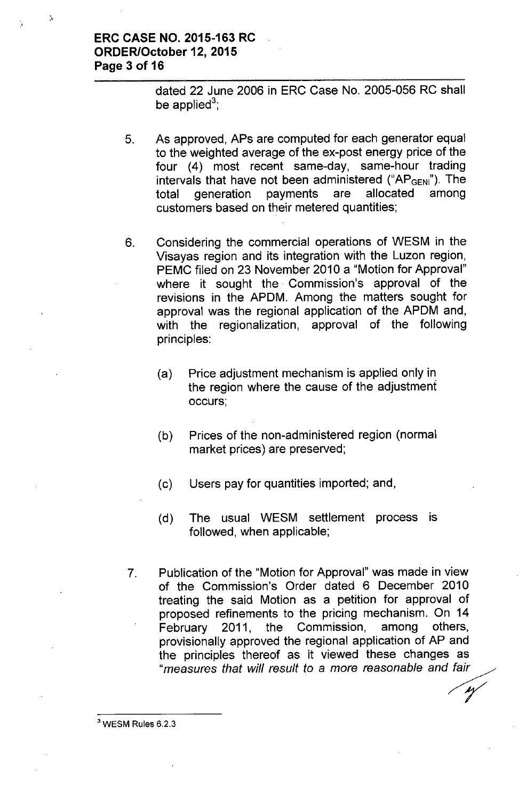# **ERC CASE NO. 2015-163 RC ORDER/October 12,2015 Page 3 of 16**

À

dated 22 June 2006 in ERC Case No. 2005-056 RC shall be applied $^3$ 

- 5. As approved, APs are computed for each generator equal to the weighted average of the ex-post energy price of the four (4) most recent same-day, same-hour trading intervals that have not been administered (" $AP<sub>GFNi</sub>$ "). The total generation payments are allocated among customers based on their metered quantities;
- 6. Considering the commercial operations of WESM in the Visayas region and its integration with the Luzon region, PEMC filed on 23 November 2010 a "Motion for Approval" where it sought the. Commission's approval of the revisions in the APDM. Among the matters sought for approval was the regional application of the APDM and, with the regionalization, approval of the following principles:
	- (a) Price adjustment mechanism is applied only in the region where the cause of the adjustment occurs;
	- (b) Prices of the non-administered region (normal market prices) are preserved;
	- (c) Users pay for quantities imported; and,
	- (d) The usual WESM settlement process is followed, when applicable;
- 7. Publication of the "Motion for Approval" was made in view of the Commission's Order dated 6 December 2010 treating the said Motion as a petition for approval of proposed refinements to the pricing mechanism. On 14 February 2011, the Commission, among others, provisionally approved the regional application of AP and the principles thereof as it viewed these changes as "measures that will result to a more reasonable and fair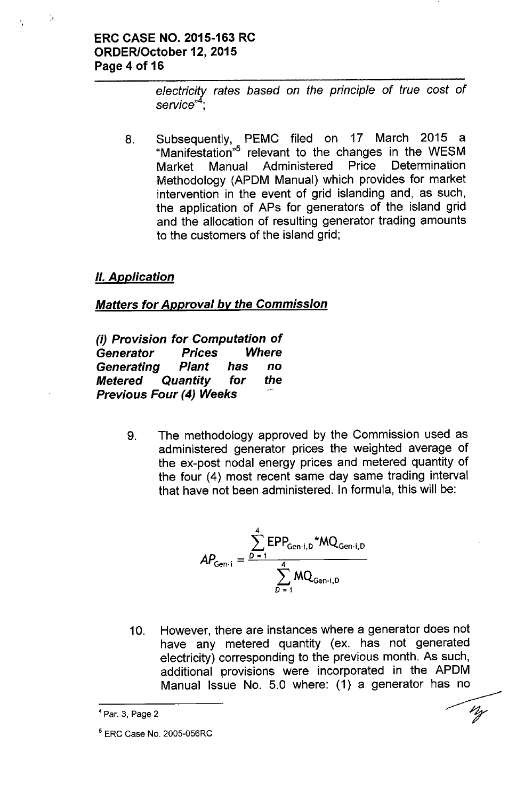$\frac{1}{2}$ 

*electricitv rates based on the principle* of *true cost* of *service"'{* ,

8. Subsequently, PEMC filed on 17 March 2015 a "Manifestation<sup>"5</sup> relevant to the changes in the WESM Market Manual Administered Price Determination Methodology (APDM Manual) which provides for market intervention in the event of grid islanding and, as such, the application of APs for generators of the island grid and the allocation of resulting generator trading amounts to the customers of the island grid;

# *II.Application*

# *Matters for Approval by the Commission*

*(I) Provision for Computation* of *Generator Prices Where Generating Plant has* no *Metered Quantity for the Previous Four* (4) *Weeks*

> 9. The methodology approved by the Commission used as administered generator prices the weighted average of the ex-post nodal energy prices and metered quantity of the four (4) most recent same day same trading interval that have not been administered. In formula, this will be:

$$
AP_{Gen-i} = \frac{\sum_{D=1}^{4} EPP_{Gen-i,D}}{\sum_{D=1}^{4} MQ_{Gen-i,D}}
$$

10. However, there are instances where a generator does not have any metered quantity (ex. has not generated electricity) corresponding to the previous month. As such, additional provisions were incorporated in the APDM Manual Issue No. 5.0 where: (1) a generator has no

 $\mathscr{U}$ 

 $<sup>4</sup>$  Par. 3, Page 2</sup>

<sup>5</sup> ERC Case No. 2005-056RC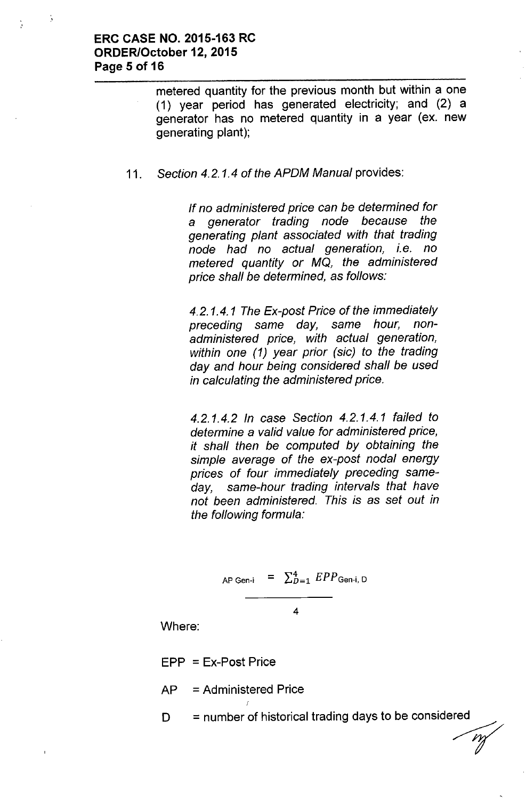Å

metered quantity for the previous month but within a one (1) year period has generated electricity; and (2) a generator has no metered quantity in a year (ex. new generating plant);

*11. Section* 4.2. 1.4 of *the APDM Manual* provides:

*If no administered price can be determined for* a *generator trading node because the generating plant associated with that trading node had no actual generation, i.e. no metered quantity or* MO, *the administered price shall be determined,* as *follows:*

*4.2.1.4.1 The Ex-post Price ofthe immediately preceding same day, same hour, nonadministered price, with actual generation, within one* (1) *year prior (sic) to the trading day and hour being considered shall be used in calculating the administered price.*

*4.2.1.4.2 In case Section* 4.2.1.4.1 *failed to determine* a *valid value for administered price, it shall then be computed by obtaining the simple average* of *the ex-post nodal energy prices* of *four immediately preceding sameday, same-hour trading intervals that have not been administered. This is* as *set out in the following formula:*

AP Gen-i = 
$$
\sum_{D=1}^{4} EPP_{Gen-i,D}
$$

Where:

EPP = Ex-Post Price

 $AP =$  Administered Price

 $D =$  number of historical trading days to be considered  $\begin{array}{c} \mathsf{red} \\ \hline \end{array}$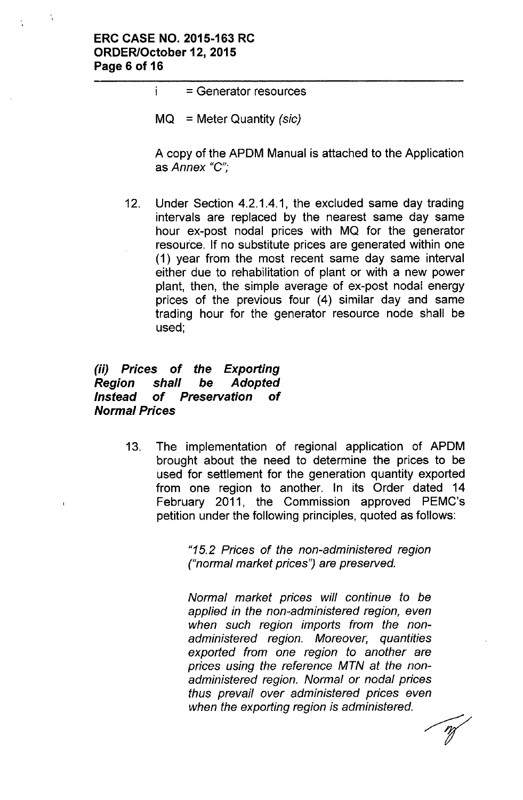i.

#### = Generator resources

MQ = Meter Quantity *(sic)*

A copy of the APDM Manual is attached to the Application as *Annex "C'"*,

12. Under Section 4.2.1.4.1, the excluded same day trading intervals are replaced by the nearest same day same hour ex-post nodal prices with MQ for the generator resource. If no substitute prices are generated within one (1) year from the most recent same day same interval either due to rehabilitation of plant or with a new power plant, then, the simple average of ex-post nodal energy prices of the previous four (4) similar day and same trading hour for the generator resource node shall be used;

*(ii) Prices* **of** *the Exporting Region shall be Adopted Instead* **of** *Preservation* **of** *Normal Prices*

> 13. The implementation of regional application of APDM brought about the need to determine the prices to be used for settlement for the generation quantity exported from one region to another. In its Order dated 14 February 2011, the Commission approved PEMC's petition under the following principles, quoted as follows:

> > *"15.2 Prices* of *the non-administered region ("normal market prices") are preserved.*

*Normal market prices will continue to be applied in the non-administered region, even when such region imports from the nonadministered region. Moreover, quantities exported from one region to another are prices using the reference MTN at the nonadministered region. Normal or nodal prices thus prevail over administered prices even when the exporting region is administered.*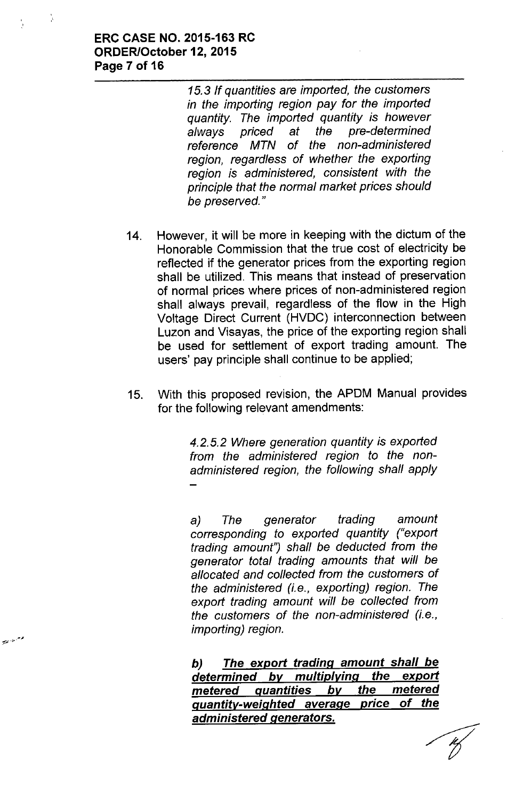#### **ERC CASE NO. 2015-163 RC ORDER/October 12, 2015 Page 7 of 16**

Å

مسيس

*15.3 If quantities are imported, the customers in the importing region pay for the imported quantity. The imported quantity is however always priced at the pre-determined reference MTN* of *the non-administered region, regardless* of *whether the exporting region is administered, consistent with the principle that the normal market prices should be preserved. "*

- 14. However, it will be more in keeping with the dictum of the Honorable Commission that the true cost of electricity be reflected if the generator prices from the exporting region shall be utilized. This means that instead of preservation of normal prices where prices of non-administered region shall always prevail, regardless of the flow in the High Voltage Direct Current (HVDC) interconnection between Luzon and Visayas, the price of the exporting region shall be used for settlement of export trading amount. The users' pay principle shall continue to be applied;
- 15. With this proposed revision, the APDM Manual provides for the following relevant amendments:

*4.2.5.2 Where generation quantity is exported from the administered region to the nonadministered region, the following shall apply*

a) *The generator trading amount corresponding to exported quantity ("export trading amount") shall be deducted from the generator total trading amounts that will be allocated and collected from the customers* of *the administered (i.e., exporting) region. The export trading amount will be collected from the customers* of *the non-administered (i.e., importing) region.*

*b) The export trading amount shall be determined by multiplying the export metered quantities by the metered quantity-weighted average price* **of** *the administered generators.*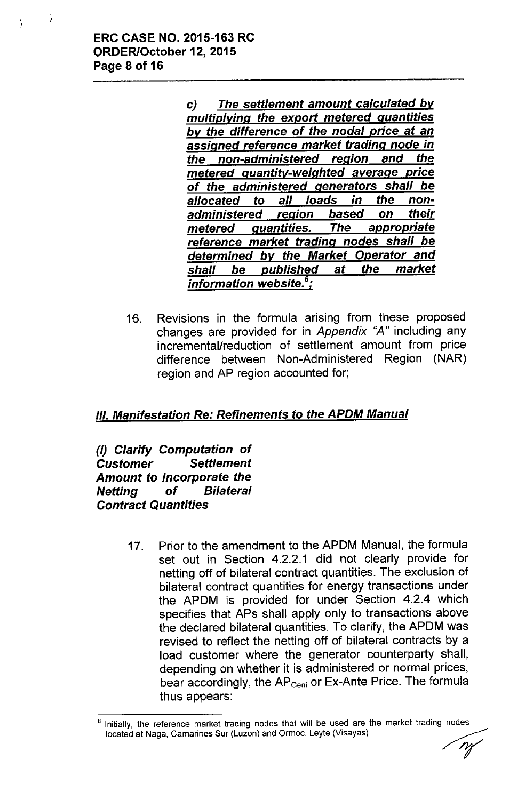Ŵ

c) *The settlement amount calculated by multiplving the. export metered quantities by the difference* of *the nodal price at an assigned reference market trading node in the non-administered region and the metered quantity-weighted average price* of *the administered generators shall be allocated to all loads in the nonadministered region based on their metered quantities. The appropriate reference market trading nodes shall be determined by the Market Operator and shall be published at the market information website.<sup>6</sup> ;*

16. Revisions in the formula arising from these proposed changes are provided for in *Appendix* "A" including any incremental/reduction of settlement amount from price difference between Non-Administered Region (NAR) region and AP region accounted for;

# *III. Manifestation Re: Refinements to the APDM Manual*

*(i) Clarify Computation* of *Customer Settlement Amount to Incorporate the Netting* of *Bilateral Contract Quantities*

> 17. Prior to the amendment to the APDM Manual, the formula set out in Section 4.2.2.1 did not clearly provide for netting off of bilateral contract quantities. The exclusion of bilateral contract quantities for energy transactions under the APDM is provided for under Section 4.2.4 which specifies that APs shall apply only to transactions above the declared bilateral quantities. To clarify, the APDM was revised to reflect the netting off of bilateral contracts by a load customer where the generator counterparty shall, depending on whether it is administered or normal prices, bear accordingly, the AP<sub>Geni</sub> or Ex-Ante Price. The formula thus appears:

<sup>6</sup> Initially, the reference market trading nodes that will be used are the market trading nodes located at Naga, Camarines Sur (Luzon) and Ormoc, Leyte (Visayas) ~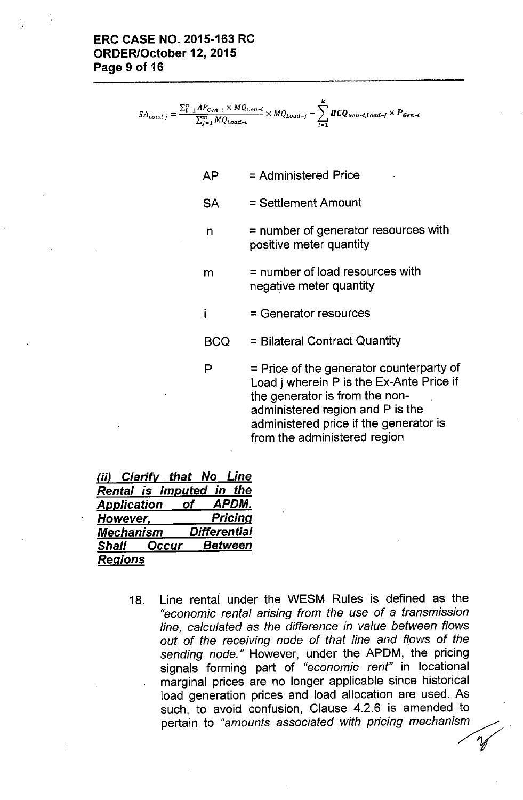# ERC CASE NO. 2015-163 RC ORDER/October 12,2015 Page 9 of 16

$$
SA_{load\text{-}j} = \frac{\sum_{i=1}^{n} AP_{Gen-i} \times MQ_{Gen-i}}{\sum_{j=1}^{m} MQ_{load-i}} \times MQ_{load-j} - \sum_{t=1}^{k} BCQ_{Gen-t,load-j} \times P_{Gen-i}
$$

- $AP =$  Administered Price
- SA = Settlement Amount
- $n =$  number of generator resources with positive meter quantity
- m = number of load resources with negative meter quantity
	- = Generator resources
- BCQ = Bilateral Contract Quantity
- $P =$  Price of the generator counterparty of Load j wherein P is the Ex-Ante Price if the generator is from the nonadministered region and P is the administered price if the generator is from the administered region

| (ii) Clarify that No Line  |                       |
|----------------------------|-----------------------|
| Rental is Imputed in the   |                       |
| <b>Application</b>         | APDM.<br>of <b>of</b> |
| However,                   | <b>Pricing</b>        |
| <b>Mechanism</b>           | <b>Differential</b>   |
| <b>Shall Occur Between</b> |                       |
| <b>Regions</b>             |                       |

j.

18. Line rental under the WESM Rules is defined as the *"economic rental arising from the use* of a *transmission line, calculated* as *the difference in value between flows out* of *the receiving node* of *that line and flows* of *the sending node."* However, under the APDM, the pricing signals forming part of *"economic rent"* in locational marginal prices are no longer applicable since historical load generation prices and load allocation are used. As such, to avoid confusion, Clause 4.2.6 is amended to **pertain to "amounts associated with pricing mechanism**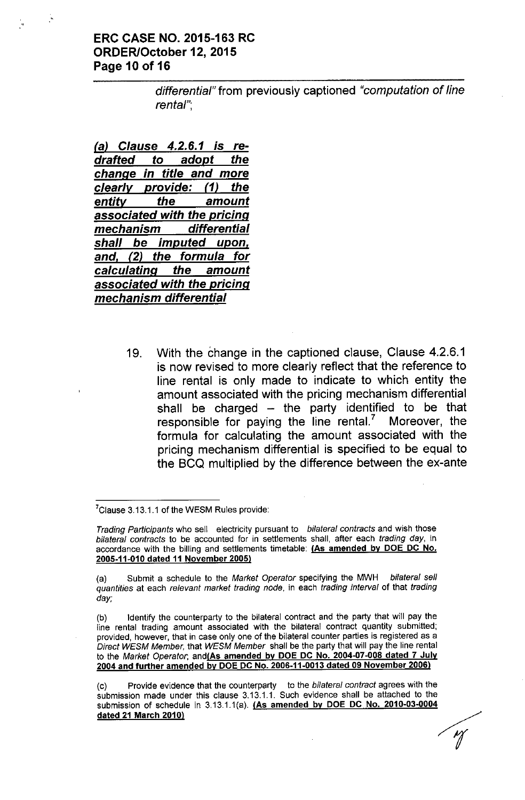## ERC CASE NO. 2015-163 RC ORDER/October 12,2015 Page 10 of 16

*differential"* from previously captioned *"computation* of *line* rental",

*(a) Clause* 4.2.6.1 *is redrafted* to *adopt the change in title and more clearlv provide:* (1) *the entity the amount associated with the pricing mechanism differential shall be imputed upon, and,* (2) *the formula for calculating the amount associated with the pricing mechanism differential*

> 19. With the change in the captioned clause, Clause 4.2.6.1 is now revised to more clearly reflect that the reference to line rental is only made to indicate to which entity the amount associated with the pricing mechanism differential shall be charged  $-$  the party identified to be that responsible for paying the line rental.? Moreover, the formula for calculating the amount associated with the pricing mechanism differential is specified to be equal to the SCQ multiplied by the difference between the ex-ante

**18** 

 $7$ Clause 3.13.1.1 of the WESM Rules provide:

*Trading Pariicipants* who sell electricity pursuant to *bilateral contracts* and wish those *bilateral contracts* to be accounted for in settlements shall, after each *trading day,* in accordance with the billing and settlements timetable: (As amended by DOE DC No. 2005-11-010 dated 11 November 2005)

<sup>(</sup>a) Submit a schedule to the *Market Operator* specifying the MWH *bilateral sell quantities* at each *relevant market trading node,* in each *trading interval* of that *trading day;*

<sup>(</sup>b) Identify the counterparty to the bilateral contract and the party that will pay the line rental trading amount associated with the bilateral contract quantity submitted; provided, however, that in case oniy one of the bilateral counter parties is registered as a *Direct WESM Member,* that *WESM Member* shall be the party that will pay the line rental to the *Market Operator*, and (As amended by DOE DC No. 2004-07-008 dated 7 July 2004 and further amended by DOE DC No. 2006-11-0013 dated 09 November 2006)

*<sup>(</sup>c)* Provide evidence that the counterparty to the *bilateral contract* agrees with the submission made under this clause 3.13.1.1. Such evidence shall be attached to the submission of schedule in  $3.13.1.1(a)$ . (As amended by DOE DC No. 2010-03-0004 dated 21 March 2010) ~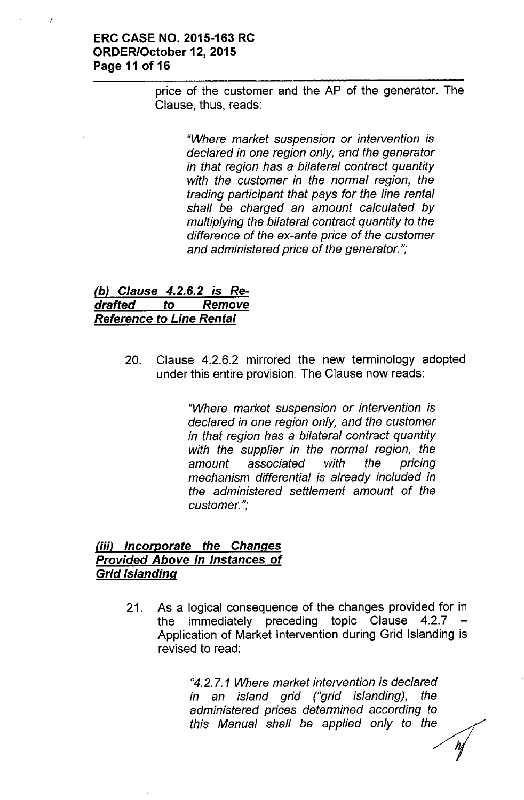## ERC CASE NO. 2015-163 RC ORDER/October 12,2015 Page 11 of 16

price of the customer and the AP of the generator. The Clause, thus, reads:

> *"Where market suspension or intervention is declared in one region only, and the generator in that region has* a *bilateral contract quantity with the customer in the normal region, the trading participant that pays for the line rental shall be charged an amount calculated by multiplying the bilateral contract quantity to the difference of the ex-ante price of the customer and administered price of the generator.";*

# *(b) Clause* 4.2.6.2 *is Redrafted* to *Remove Reference* to *Line Rental*

20. Clause 4.2.6.2 mirrored the new terminology adopted under this entire provision. The Clause now reads:

> *"Where market suspension or intervention is declared in one region only, and the customer in that region has* a *bilateral contract quantity with the supplier in the normal region, the amount associated with the pricing mechanism differential is already included in the administered settlement amount of the customer.";*

# *(iii) Incorporate the Changes Provided Above in Instances* of *Grid Islanding*

21. As a logical consequence of the changes provided for in the immediately preceding topic Clause 4.2.7 Application of Market Intervention during Grid Islanding is revised to read:

> *"4.2.7.1 Where market intervention is declared in an island grid ("grid islanding), the administered prices determined according to this* Manual shall be applied only to the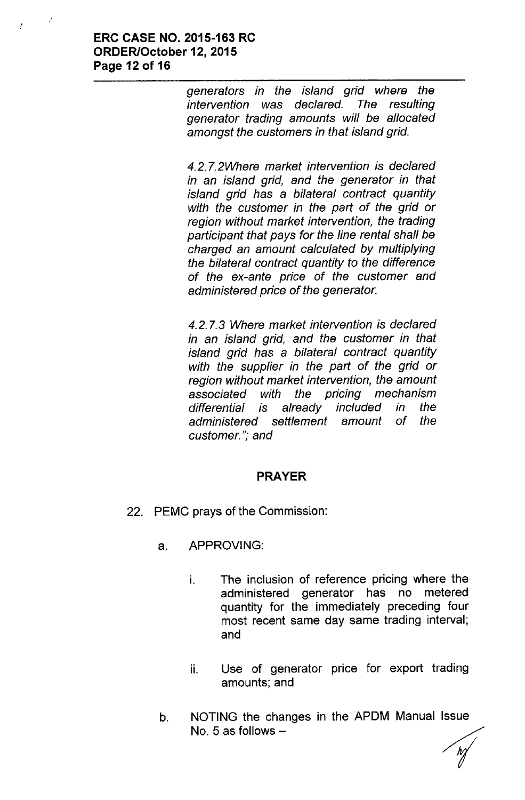# **ERC CASE NO. 2015-163 RC ORDER/October 12,2015 Page 12 of 16**

*generators in the island grid where the intervention* was *declared. The resulting generator trading amounts will be allocated amongst the customers in that island grid.*

*4.2.7.2Where market intervention is declared in an island grid, and the generator in that island grid* has a *bilateral contract quantity with the customer in the part of the grid or region without market intervention, the trading participant that pays for the line rental shall be charged an amount calculated by multiplying the bilateral contract quantity to the difference of the ex-ante price of the customer and administered price of the generator.*

*4.2.7.3 Where market intervention is declared in an island grid, and the customer in that island grid* has a *bilateral contract quantity with the supplier in the part of the grid or region without market intervention, the amount associated with the pricing mechanism differential is already included in the administered settlement amount of the customer. "; and*

# **PRAYER**

22. PEMC prays of the Commission:

# a. APPROVING:

- i. The inclusion of reference pricing where the administered generator has no metered quantity for the immediately preceding four most recent same day same trading interval; and
- ii. Use of generator price for export trading amounts; and
- b. NOTING the changes in the APDM Manual Issue amounts; and<br>
NOTING the changes in the APDM Manual Issue<br>
No. 5 as follows –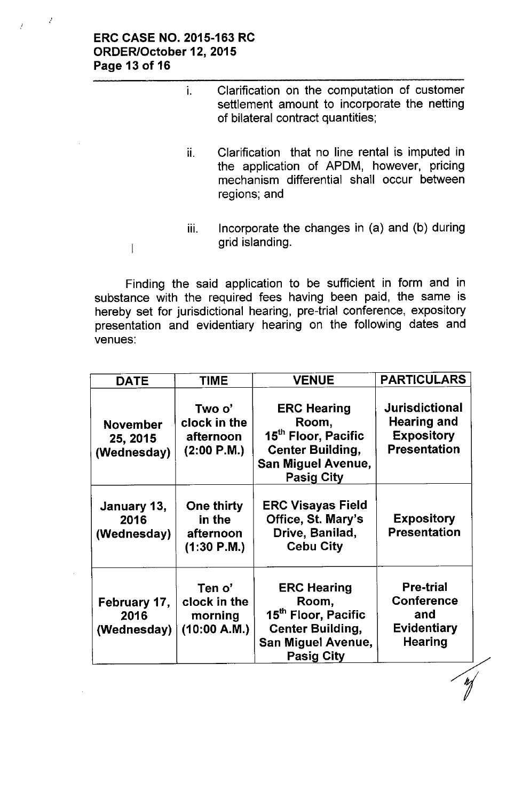# ERC CASE NO. 2015-163 RC ORDER/October 12, 2015 Page 13 of 16

 $\mathbf{I}$ 

- i. Clarification on the computation of customer settlement amount to incorporate the netting of bilateral contract quantities;
- ii. Clarification that no line rental is imputed in the application of APDM, however, pricing mechanism differential shall occur between regions; and
- $iii.$  Incorporate the changes in (a) and (b) during grid islanding.

Finding the said application to be sufficient in form and in substance with the required fees having been paid, the same is hereby set for jurisdictional hearing, pre-trial conference, expository presentation and evidentiary hearing on the following dates and venues:

| <b>DATE</b>                                | <b>TIME</b>                                        | <b>VENUE</b>                                                                                                                                | <b>PARTICULARS</b>                                                                      |
|--------------------------------------------|----------------------------------------------------|---------------------------------------------------------------------------------------------------------------------------------------------|-----------------------------------------------------------------------------------------|
| <b>November</b><br>25, 2015<br>(Wednesday) | Two o'<br>clock in the<br>afternoon<br>(2:00 P.M.) | <b>ERC Hearing</b><br>Room,<br>15th Floor, Pacific<br><b>Center Building,</b><br><b>San Miguel Avenue,</b><br><b>Pasig City</b>             | <b>Jurisdictional</b><br><b>Hearing and</b><br><b>Expository</b><br><b>Presentation</b> |
| January 13,<br>2016<br>(Wednesday)         | One thirty<br>in the<br>afternoon<br>$(1:30$ P.M.) | <b>ERC Visayas Field</b><br>Office, St. Mary's<br>Drive, Banilad,<br><b>Cebu City</b>                                                       | <b>Expository</b><br><b>Presentation</b>                                                |
| February 17,<br>2016<br>(Wednesday)        | Ten o'<br>clock in the<br>morning<br>(10:00 A.M.)  | <b>ERC Hearing</b><br>Room,<br>15 <sup>th</sup> Floor, Pacific<br><b>Center Building,</b><br><b>San Miguel Avenue,</b><br><b>Pasig City</b> | <b>Pre-trial</b><br><b>Conference</b><br>and<br><b>Evidentiary</b><br><b>Hearing</b>    |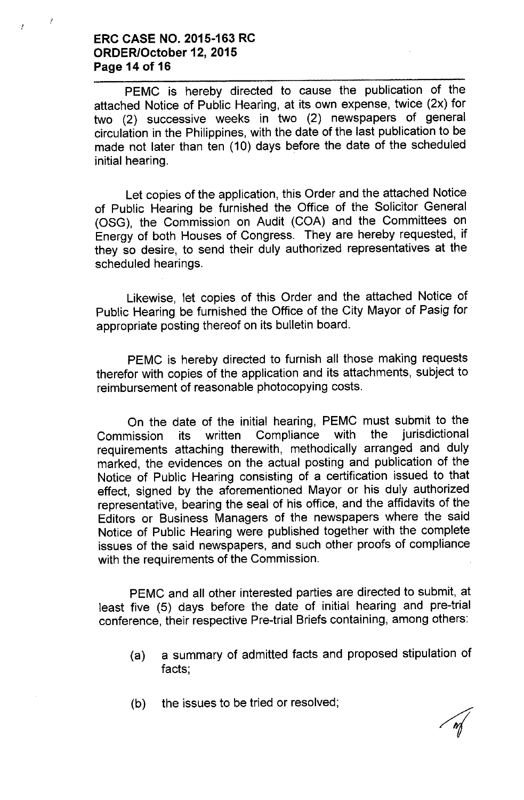# **ERC CASE NO. 2015-163 RC ORDER/October 12,2015 Page 14 of 16**

PEMC is hereby directed to cause the publication of the attached Notice of Public Hearing, at its own expense, twice (2x) for two (2) successive weeks in two (2) newspapers of general circulation in the Philippines, with the date of the last publication to be made not later than ten (10) days before the date of the scheduled initial hearing.

Let copies of the application, this Order and the attached Notice of Public Hearing be furnished the Office of the Solicitor General (OSG), the Commission on Audit (COA) and the Committees on Energy of both Houses of Congress. They are hereby requested, if they so desire, to send their duly authorized representatives at the scheduled hearings.

Likewise, let copies of this Order and the attached Notice of Public Hearing be furnished the Office of the City Mayor of Pasig for appropriate posting thereof on its bulletin board.

PEMC is hereby directed to furnish all those making requests therefor with copies of the application and its attachments, subject to reimbursement of reasonable photocopying costs.

On the date of the initial hearing, PEMC must submit to the Commission its written Compliance with the jurisdictional requirements attaching therewith, methodically arranged and duly marked, the evidences on the actual posting and publication of the Notice of Public Hearing consisting of a certification issued to that effect, signed by the aforementioned Mayor or his duly authorized representative, bearing the seal of his office, and the affidavits of the Editors or Business Managers of the newspapers where the said Notice of Public Hearing were published together with the complete issues of the said newspapers, and such other proofs of compliance with the requirements of the Commission.

PEMC and all other interested parties are directed to submit, at least five (5) days before the date of initial hearing and pre-trial conference, their respective Pre-trial Briefs containing, among others:

- (a) a summary of admitted facts and proposed stipulation of facts;
- (b) the issues to be tried or resolved;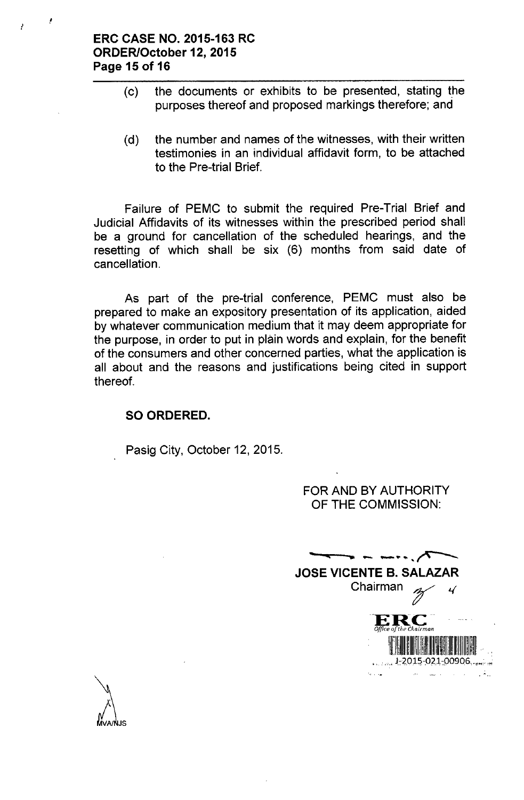#### ERC CASE NO. 2015-163 RC ORDER/October 12,2015 Page 15 of 16

!

!

- (c) the documents or exhibits to be presented, stating the purposes thereof and proposed markings therefore; and
- (d) the number and names of the witnesses, with their written testimonies in an individual affidavit form, to be attached to the Pre-trial Brief.

Failure of PEMC to submit the required Pre-Trial Brief and Judicial Affidavits of its witnesses within the prescribed period shall be a ground for cancellation of the scheduled hearings, and the resetting of which shall be six (6) months from said date of cancellation.

As part of the pre-trial conference, PEMC must also be prepared to make an expository presentation of its application, aided by whatever communication medium that it may deem appropriate for the purpose, in order to put in plain words and explain, for the benefit of the consumers and other concerned parties, what the application is all about and the reasons and justifications being cited in support thereof.

# SO ORDERED.

Pasig City, October 12, 2015.

FOR AND BY AUTHORITY OF THE COMMISSION:

•. <sup>~</sup> *<sup>&</sup>lt; ..• - ••.••.•••....<sup>r</sup> .. -* JOSE VICENTE B. SALAZAI ENTE B. SALAZAR<br>Chairman  $\gamma$ ERe... *Office of/he Chairman* 1[llillllllll!IIIII~IIIII'II~~~~j~~!!II~~I~~ .  $1-2015-021-00906...$